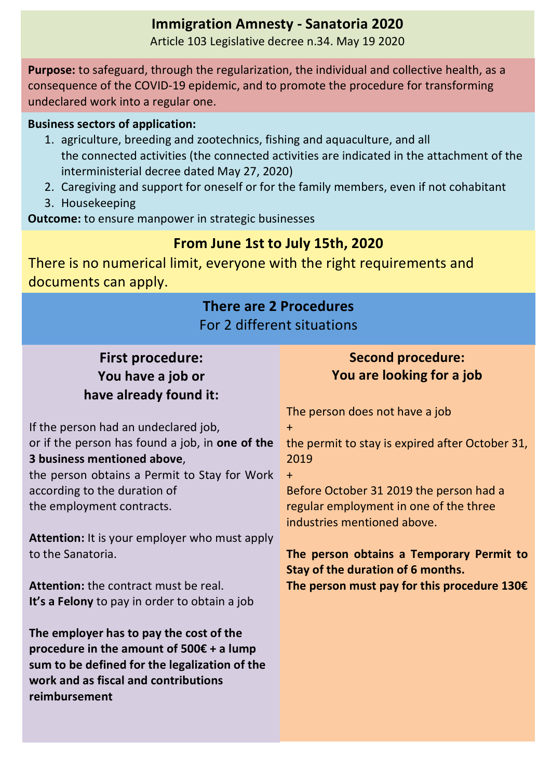# **Immigration Amnesty - Sanatoria 2020**

Article 103 Legislative decree n.34. May 19 2020

**Purpose:** to safeguard, through the regularization, the individual and collective health, as a consequence of the COVID-19 epidemic, and to promote the procedure for transforming undeclared work into a regular one.

#### **Business sectors of application:**

- 1. agriculture, breeding and zootechnics, fishing and aquaculture, and all the connected activities (the connected activities are indicated in the attachment of the interministerial decree dated May 27, 2020)
- 2. Caregiving and support for oneself or for the family members, even if not cohabitant
- 3. Housekeeping

**Outcome:** to ensure manpower in strategic businesses

# **From June 1st to July 15th, 2020**

There is no numerical limit, everyone with the right requirements and documents can apply.

#### **There are 2 Procedures** For 2 different situations **First procedure:** You have a job or have already found it: If the person had an undeclared job, or if the person has found a job, in **one of the 3** business mentioned above, the person obtains a Permit to Stay for Work according to the duration of the employment contracts. **Attention:** It is your employer who must apply to the Sanatoria. **Attention:** the contract must be real. **It's a Felony** to pay in order to obtain a job The employer has to pay the cost of the procedure in the amount of  $500\epsilon + a$  lump sum to be defined for the legalization of the **work and as fiscal and contributions** reimbursement **Second procedure: You are looking for a job** The person does not have a job + the permit to stay is expired after October 31, 2019 + Before October 31 2019 the person had a regular employment in one of the three industries mentioned above. The person obtains a Temporary Permit to **Stay of the duration of 6 months. The person must pay for this procedure 130€**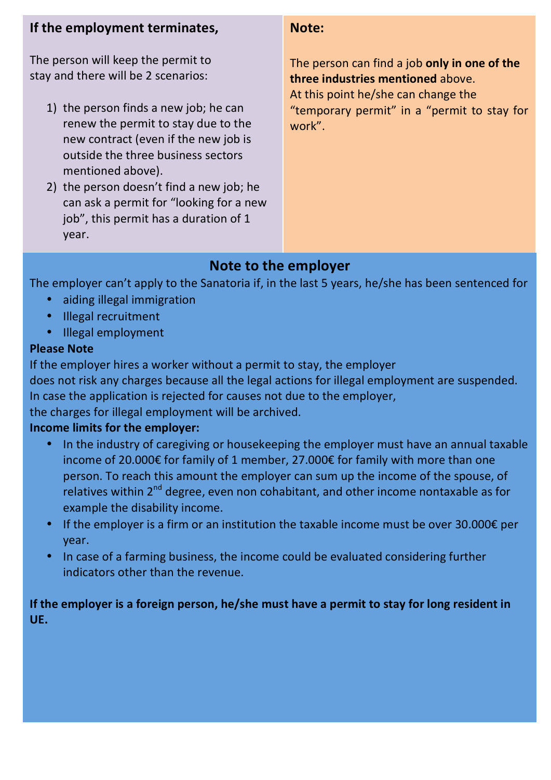### **If the employment terminates.**

The person will keep the permit to stay and there will be 2 scenarios:

- 1) the person finds a new job; he can renew the permit to stay due to the new contract (even if the new job is outside the three business sectors mentioned above).
- 2) the person doesn't find a new job; he can ask a permit for "looking for a new iob", this permit has a duration of 1 year.

#### **Note:**

The person can find a job only in one of the **three industries mentioned** above. At this point he/she can change the "temporary permit" in a "permit to stay for work".

# **Note to the employer**

The employer can't apply to the Sanatoria if, in the last 5 years, he/she has been sentenced for

- aiding illegal immigration
- Illegal recruitment
- Illegal employment

### **Please Note**

If the employer hires a worker without a permit to stay, the employer

does not risk any charges because all the legal actions for illegal employment are suspended. In case the application is rejected for causes not due to the employer,

the charges for illegal employment will be archived.

### **Income limits for the employer:**

- In the industry of caregiving or housekeeping the employer must have an annual taxable income of 20.000€ for family of 1 member, 27.000€ for family with more than one person. To reach this amount the employer can sum up the income of the spouse, of relatives within  $2^{nd}$  degree, even non cohabitant, and other income nontaxable as for example the disability income.
- If the employer is a firm or an institution the taxable income must be over 30.000 $\epsilon$  per year.
- In case of a farming business, the income could be evaluated considering further indicators other than the revenue.

### If the employer is a foreign person, he/she must have a permit to stay for long resident in **UE.**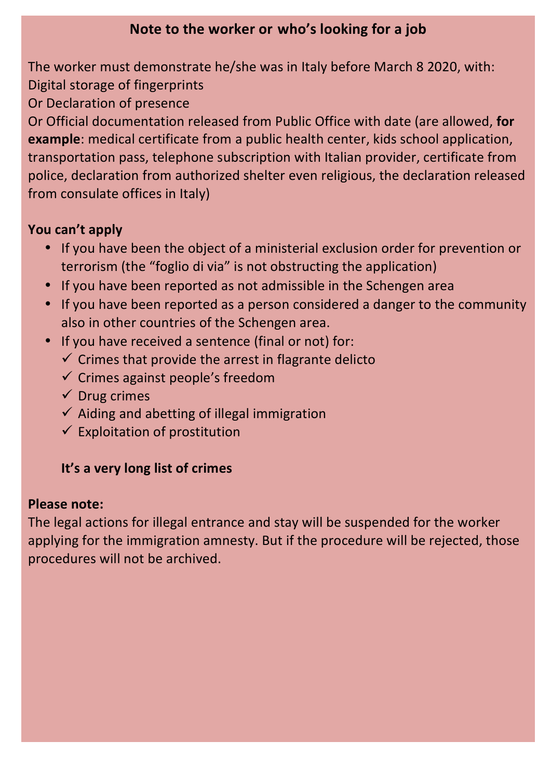# **Note to the worker or who's looking for a job**

The worker must demonstrate he/she was in Italy before March 8 2020, with: Digital storage of fingerprints

Or Declaration of presence

Or Official documentation released from Public Office with date (are allowed, for **example**: medical certificate from a public health center, kids school application, transportation pass, telephone subscription with Italian provider, certificate from police, declaration from authorized shelter even religious, the declaration released from consulate offices in Italy)

# You can't apply

- If you have been the object of a ministerial exclusion order for prevention or terrorism (the "foglio di via" is not obstructing the application)
- If you have been reported as not admissible in the Schengen area
- If you have been reported as a person considered a danger to the community also in other countries of the Schengen area.
- If you have received a sentence (final or not) for:
	- $\checkmark$  Crimes that provide the arrest in flagrante delicto
	- $\checkmark$  Crimes against people's freedom
	- $\checkmark$  Drug crimes
	- $\checkmark$  Aiding and abetting of illegal immigration
	- $\checkmark$  Exploitation of prostitution

# **It's a very long list of crimes**

### **Please note:**

The legal actions for illegal entrance and stay will be suspended for the worker applying for the immigration amnesty. But if the procedure will be rejected, those procedures will not be archived.